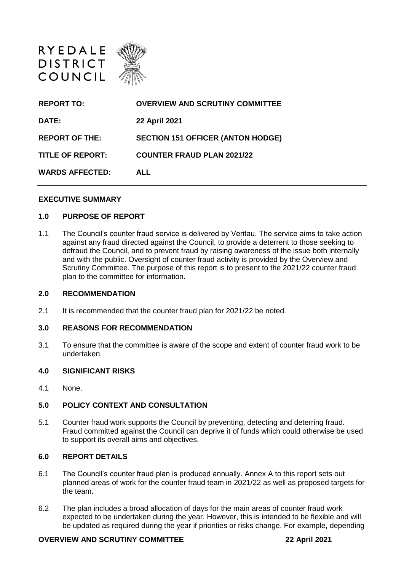

| <b>REPORT TO:</b>       | <b>OVERVIEW AND SCRUTINY COMMITTEE</b>   |
|-------------------------|------------------------------------------|
| DATE:                   | <b>22 April 2021</b>                     |
| <b>REPORT OF THE:</b>   | <b>SECTION 151 OFFICER (ANTON HODGE)</b> |
| <b>TITLE OF REPORT:</b> | <b>COUNTER FRAUD PLAN 2021/22</b>        |
| <b>WARDS AFFECTED:</b>  | <b>ALL</b>                               |

#### **EXECUTIVE SUMMARY**

### **1.0 PURPOSE OF REPORT**

1.1 The Council's counter fraud service is delivered by Veritau. The service aims to take action against any fraud directed against the Council, to provide a deterrent to those seeking to defraud the Council, and to prevent fraud by raising awareness of the issue both internally and with the public. Oversight of counter fraud activity is provided by the Overview and Scrutiny Committee. The purpose of this report is to present to the 2021/22 counter fraud plan to the committee for information.

### **2.0 RECOMMENDATION**

2.1 It is recommended that the counter fraud plan for 2021/22 be noted.

#### **3.0 REASONS FOR RECOMMENDATION**

3.1 To ensure that the committee is aware of the scope and extent of counter fraud work to be undertaken.

### **4.0 SIGNIFICANT RISKS**

4.1 None.

## **5.0 POLICY CONTEXT AND CONSULTATION**

5.1 Counter fraud work supports the Council by preventing, detecting and deterring fraud. Fraud committed against the Council can deprive it of funds which could otherwise be used to support its overall aims and objectives.

## **6.0 REPORT DETAILS**

- 6.1 The Council's counter fraud plan is produced annually. Annex A to this report sets out planned areas of work for the counter fraud team in 2021/22 as well as proposed targets for the team.
- 6.2 The plan includes a broad allocation of days for the main areas of counter fraud work expected to be undertaken during the year. However, this is intended to be flexible and will be updated as required during the year if priorities or risks change. For example, depending

# **OVERVIEW AND SCRUTINY COMMITTEE 22 April 2021**